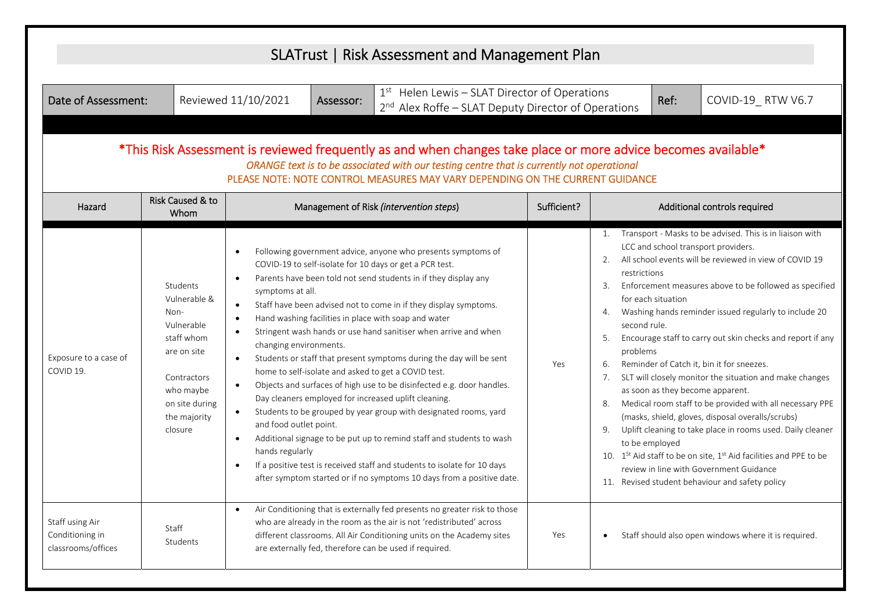|                                                                                                                                                                                                                                                                                                                                                                                                                                                                                                           | SLATrust   Risk Assessment and Management Plan                                                                                                       |                                                                                                                                                                                                                                                                                                                                                                                                                                                                                                                                                                                                                                                                                                                                                                                                                                                                                                                                                                                                                                                                                                                                                                           |             |                                                                                                                                                                                                                                                                                                                                                                                                                                                                                                                                                                                                                                                                                                                                                                                                                                                                                                                                                                                                      |  |  |
|-----------------------------------------------------------------------------------------------------------------------------------------------------------------------------------------------------------------------------------------------------------------------------------------------------------------------------------------------------------------------------------------------------------------------------------------------------------------------------------------------------------|------------------------------------------------------------------------------------------------------------------------------------------------------|---------------------------------------------------------------------------------------------------------------------------------------------------------------------------------------------------------------------------------------------------------------------------------------------------------------------------------------------------------------------------------------------------------------------------------------------------------------------------------------------------------------------------------------------------------------------------------------------------------------------------------------------------------------------------------------------------------------------------------------------------------------------------------------------------------------------------------------------------------------------------------------------------------------------------------------------------------------------------------------------------------------------------------------------------------------------------------------------------------------------------------------------------------------------------|-------------|------------------------------------------------------------------------------------------------------------------------------------------------------------------------------------------------------------------------------------------------------------------------------------------------------------------------------------------------------------------------------------------------------------------------------------------------------------------------------------------------------------------------------------------------------------------------------------------------------------------------------------------------------------------------------------------------------------------------------------------------------------------------------------------------------------------------------------------------------------------------------------------------------------------------------------------------------------------------------------------------------|--|--|
| $1st$ Helen Lewis – SLAT Director of Operations<br>Reviewed 11/10/2021<br>Ref:<br>Date of Assessment:<br>COVID-19_RTW V6.7<br>Assessor:<br>2 <sup>nd</sup> Alex Roffe - SLAT Deputy Director of Operations<br>*This Risk Assessment is reviewed frequently as and when changes take place or more advice becomes available*<br>ORANGE text is to be associated with our testing centre that is currently not operational<br>PLEASE NOTE: NOTE CONTROL MEASURES MAY VARY DEPENDING ON THE CURRENT GUIDANCE |                                                                                                                                                      |                                                                                                                                                                                                                                                                                                                                                                                                                                                                                                                                                                                                                                                                                                                                                                                                                                                                                                                                                                                                                                                                                                                                                                           |             |                                                                                                                                                                                                                                                                                                                                                                                                                                                                                                                                                                                                                                                                                                                                                                                                                                                                                                                                                                                                      |  |  |
| Hazard                                                                                                                                                                                                                                                                                                                                                                                                                                                                                                    | Risk Caused & to<br>Whom                                                                                                                             | Management of Risk (intervention steps)                                                                                                                                                                                                                                                                                                                                                                                                                                                                                                                                                                                                                                                                                                                                                                                                                                                                                                                                                                                                                                                                                                                                   | Sufficient? | Additional controls required                                                                                                                                                                                                                                                                                                                                                                                                                                                                                                                                                                                                                                                                                                                                                                                                                                                                                                                                                                         |  |  |
| Exposure to a case of<br>COVID 19.                                                                                                                                                                                                                                                                                                                                                                                                                                                                        | Students<br>Vulnerable &<br>Non-<br>Vulnerable<br>staff whom<br>are on site<br>Contractors<br>who maybe<br>on site during<br>the majority<br>closure | Following government advice, anyone who presents symptoms of<br>COVID-19 to self-isolate for 10 days or get a PCR test.<br>Parents have been told not send students in if they display any<br>$\bullet$<br>symptoms at all.<br>Staff have been advised not to come in if they display symptoms.<br>$\bullet$<br>Hand washing facilities in place with soap and water<br>$\bullet$<br>Stringent wash hands or use hand sanitiser when arrive and when<br>$\bullet$<br>changing environments.<br>Students or staff that present symptoms during the day will be sent<br>$\bullet$<br>home to self-isolate and asked to get a COVID test.<br>Objects and surfaces of high use to be disinfected e.g. door handles.<br>$\bullet$<br>Day cleaners employed for increased uplift cleaning.<br>Students to be grouped by year group with designated rooms, yard<br>$\bullet$<br>and food outlet point.<br>Additional signage to be put up to remind staff and students to wash<br>$\bullet$<br>hands regularly<br>If a positive test is received staff and students to isolate for 10 days<br>$\bullet$<br>after symptom started or if no symptoms 10 days from a positive date. | Yes         | 1. Transport - Masks to be advised. This is in liaison with<br>LCC and school transport providers.<br>2. All school events will be reviewed in view of COVID 19<br>restrictions<br>Enforcement measures above to be followed as specified<br>3.<br>for each situation<br>Washing hands reminder issued regularly to include 20<br>4.<br>second rule.<br>Encourage staff to carry out skin checks and report if any<br>5.<br>problems<br>Reminder of Catch it, bin it for sneezes.<br>6.<br>SLT will closely monitor the situation and make changes<br>7.<br>as soon as they become apparent.<br>Medical room staff to be provided with all necessary PPE<br>8.<br>(masks, shield, gloves, disposal overalls/scrubs)<br>Uplift cleaning to take place in rooms used. Daily cleaner<br>9.<br>to be employed<br>10. 1 <sup>St</sup> Aid staff to be on site, 1 <sup>st</sup> Aid facilities and PPE to be<br>review in line with Government Guidance<br>11. Revised student behaviour and safety policy |  |  |
| Staff using Air<br>Conditioning in<br>classrooms/offices                                                                                                                                                                                                                                                                                                                                                                                                                                                  | Staff<br>Students                                                                                                                                    | Air Conditioning that is externally fed presents no greater risk to those<br>$\bullet$<br>who are already in the room as the air is not 'redistributed' across<br>different classrooms. All Air Conditioning units on the Academy sites<br>are externally fed, therefore can be used if required.                                                                                                                                                                                                                                                                                                                                                                                                                                                                                                                                                                                                                                                                                                                                                                                                                                                                         | Yes         | Staff should also open windows where it is required.<br>$\bullet$                                                                                                                                                                                                                                                                                                                                                                                                                                                                                                                                                                                                                                                                                                                                                                                                                                                                                                                                    |  |  |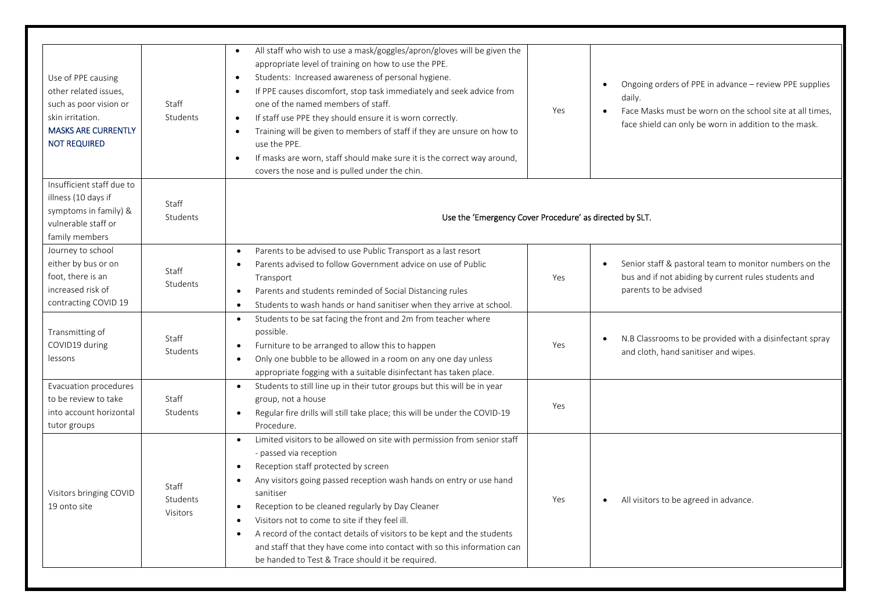| Use of PPE causing<br>other related issues,<br>such as poor vision or<br>skin irritation.<br><b>MASKS ARE CURRENTLY</b><br><b>NOT REQUIRED</b> | Staff<br>Students                    | All staff who wish to use a mask/goggles/apron/gloves will be given the<br>$\bullet$<br>appropriate level of training on how to use the PPE.<br>Students: Increased awareness of personal hygiene.<br>$\bullet$<br>If PPE causes discomfort, stop task immediately and seek advice from<br>$\bullet$<br>one of the named members of staff.<br>If staff use PPE they should ensure it is worn correctly.<br>$\bullet$<br>Training will be given to members of staff if they are unsure on how to<br>$\bullet$<br>use the PPE.<br>If masks are worn, staff should make sure it is the correct way around,<br>$\bullet$<br>covers the nose and is pulled under the chin. | Yes | Ongoing orders of PPE in advance - review PPE supplies<br>daily.<br>Face Masks must be worn on the school site at all times,<br>$\bullet$<br>face shield can only be worn in addition to the mask. |
|------------------------------------------------------------------------------------------------------------------------------------------------|--------------------------------------|-----------------------------------------------------------------------------------------------------------------------------------------------------------------------------------------------------------------------------------------------------------------------------------------------------------------------------------------------------------------------------------------------------------------------------------------------------------------------------------------------------------------------------------------------------------------------------------------------------------------------------------------------------------------------|-----|----------------------------------------------------------------------------------------------------------------------------------------------------------------------------------------------------|
| Insufficient staff due to<br>illness (10 days if<br>symptoms in family) &<br>vulnerable staff or<br>family members                             | Staff<br>Students                    | Use the 'Emergency Cover Procedure' as directed by SLT.                                                                                                                                                                                                                                                                                                                                                                                                                                                                                                                                                                                                               |     |                                                                                                                                                                                                    |
| Journey to school<br>either by bus or on<br>foot, there is an<br>increased risk of<br>contracting COVID 19                                     | Staff<br>Students                    | Parents to be advised to use Public Transport as a last resort<br>$\bullet$<br>Parents advised to follow Government advice on use of Public<br>$\bullet$<br>Transport<br>Parents and students reminded of Social Distancing rules<br>$\bullet$<br>Students to wash hands or hand sanitiser when they arrive at school.<br>$\bullet$                                                                                                                                                                                                                                                                                                                                   | Yes | Senior staff & pastoral team to monitor numbers on the<br>$\bullet$<br>bus and if not abiding by current rules students and<br>parents to be advised                                               |
| Transmitting of<br>COVID19 during<br>lessons                                                                                                   | Staff<br>Students                    | Students to be sat facing the front and 2m from teacher where<br>$\bullet$<br>possible.<br>Furniture to be arranged to allow this to happen<br>$\bullet$<br>Only one bubble to be allowed in a room on any one day unless<br>$\bullet$<br>appropriate fogging with a suitable disinfectant has taken place.                                                                                                                                                                                                                                                                                                                                                           | Yes | N.B Classrooms to be provided with a disinfectant spray<br>$\bullet$<br>and cloth, hand sanitiser and wipes.                                                                                       |
| Evacuation procedures<br>to be review to take<br>into account horizontal<br>tutor groups                                                       | Staff<br>Students                    | Students to still line up in their tutor groups but this will be in year<br>$\bullet$<br>group, not a house<br>Regular fire drills will still take place; this will be under the COVID-19<br>$\bullet$<br>Procedure.                                                                                                                                                                                                                                                                                                                                                                                                                                                  | Yes |                                                                                                                                                                                                    |
| Visitors bringing COVID<br>19 onto site                                                                                                        | Staff<br>Students<br><b>Visitors</b> | Limited visitors to be allowed on site with permission from senior staff<br>$\bullet$<br>- passed via reception<br>Reception staff protected by screen<br>$\bullet$<br>Any visitors going passed reception wash hands on entry or use hand<br>٠<br>sanitiser<br>Reception to be cleaned regularly by Day Cleaner<br>$\bullet$<br>Visitors not to come to site if they feel ill.<br>$\bullet$<br>A record of the contact details of visitors to be kept and the students<br>$\bullet$<br>and staff that they have come into contact with so this information can<br>be handed to Test & Trace should it be required.                                                   | Yes | All visitors to be agreed in advance.                                                                                                                                                              |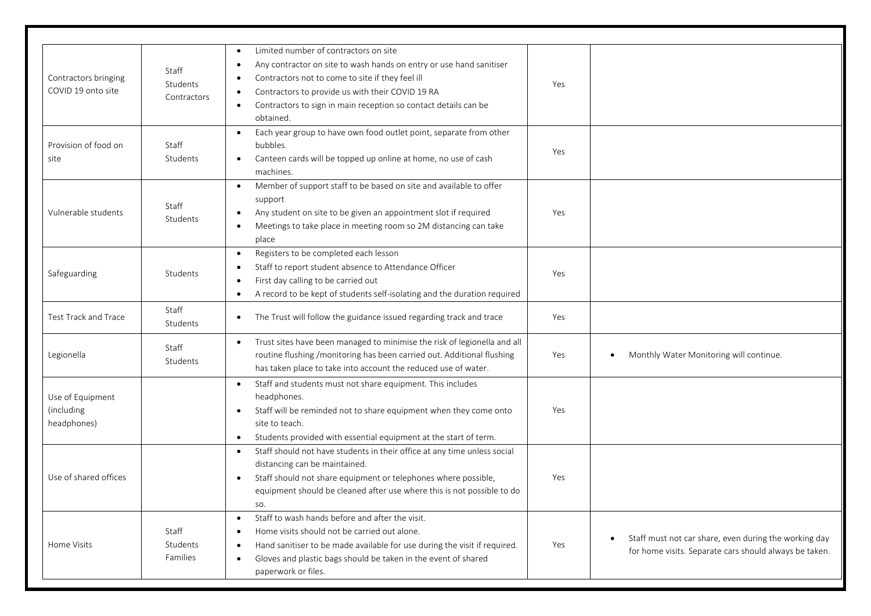| Contractors bringing<br>COVID 19 onto site    | Staff<br>Students<br>Contractors | Limited number of contractors on site<br>Any contractor on site to wash hands on entry or use hand sanitiser<br>$\bullet$<br>Contractors not to come to site if they feel ill<br>$\bullet$<br>Contractors to provide us with their COVID 19 RA<br>$\bullet$<br>Contractors to sign in main reception so contact details can be<br>$\bullet$<br>obtained. | Yes |                                                                                                                 |
|-----------------------------------------------|----------------------------------|----------------------------------------------------------------------------------------------------------------------------------------------------------------------------------------------------------------------------------------------------------------------------------------------------------------------------------------------------------|-----|-----------------------------------------------------------------------------------------------------------------|
| Provision of food on<br>site                  | Staff<br>Students                | Each year group to have own food outlet point, separate from other<br>$\bullet$<br>bubbles.<br>Canteen cards will be topped up online at home, no use of cash<br>$\bullet$<br>machines.                                                                                                                                                                  | Yes |                                                                                                                 |
| Vulnerable students                           | Staff<br>Students                | Member of support staff to be based on site and available to offer<br>$\bullet$<br>support<br>Any student on site to be given an appointment slot if required<br>$\bullet$<br>Meetings to take place in meeting room so 2M distancing can take<br>$\bullet$<br>place                                                                                     | Yes |                                                                                                                 |
| Safeguarding                                  | Students                         | Registers to be completed each lesson<br>$\bullet$<br>Staff to report student absence to Attendance Officer<br>$\bullet$<br>First day calling to be carried out<br>$\bullet$<br>A record to be kept of students self-isolating and the duration required<br>$\bullet$                                                                                    | Yes |                                                                                                                 |
| Test Track and Trace                          | Staff<br>Students                | The Trust will follow the guidance issued regarding track and trace<br>$\bullet$                                                                                                                                                                                                                                                                         | Yes |                                                                                                                 |
| Legionella                                    | Staff<br>Students                | Trust sites have been managed to minimise the risk of legionella and all<br>$\bullet$<br>routine flushing /monitoring has been carried out. Additional flushing<br>has taken place to take into account the reduced use of water.                                                                                                                        | Yes | Monthly Water Monitoring will continue.<br>٠                                                                    |
| Use of Equipment<br>(including<br>headphones) |                                  | Staff and students must not share equipment. This includes<br>$\bullet$<br>headphones.<br>Staff will be reminded not to share equipment when they come onto<br>$\bullet$<br>site to teach.<br>Students provided with essential equipment at the start of term.<br>$\bullet$                                                                              | Yes |                                                                                                                 |
| Use of shared offices                         |                                  | Staff should not have students in their office at any time unless social<br>$\bullet$<br>distancing can be maintained.<br>Staff should not share equipment or telephones where possible,<br>$\bullet$<br>equipment should be cleaned after use where this is not possible to do<br>SO.                                                                   | Yes |                                                                                                                 |
| Home Visits                                   | Staff<br>Students<br>Families    | Staff to wash hands before and after the visit.<br>$\bullet$<br>Home visits should not be carried out alone.<br>$\bullet$<br>Hand sanitiser to be made available for use during the visit if required.<br>$\bullet$<br>Gloves and plastic bags should be taken in the event of shared<br>$\bullet$<br>paperwork or files.                                | Yes | Staff must not car share, even during the working day<br>for home visits. Separate cars should always be taken. |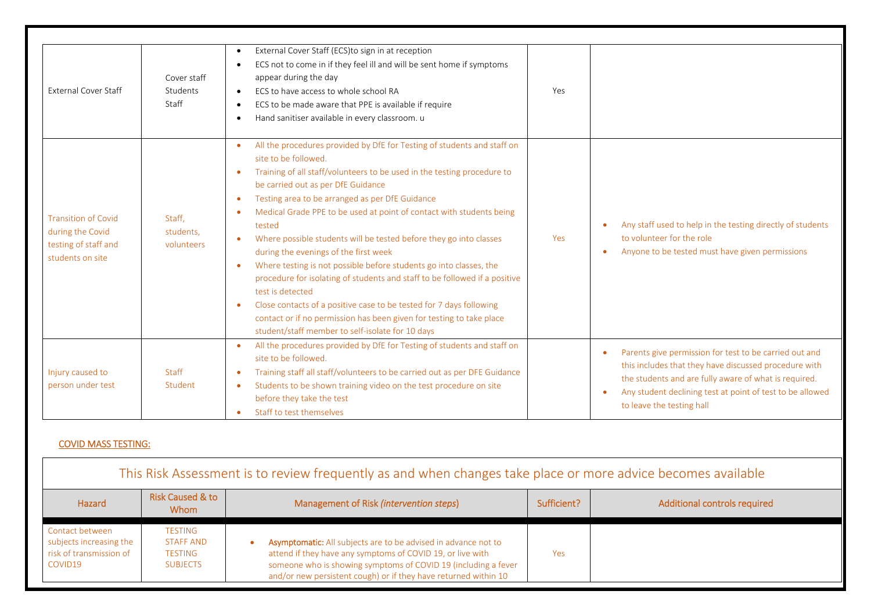| <b>External Cover Staff</b>                                                                | Cover staff<br>Students<br>Staff  | External Cover Staff (ECS)to sign in at reception<br>$\bullet$<br>ECS not to come in if they feel ill and will be sent home if symptoms<br>$\bullet$<br>appear during the day<br>ECS to have access to whole school RA<br>$\bullet$<br>ECS to be made aware that PPE is available if require<br>$\bullet$<br>Hand sanitiser available in every classroom. u<br>$\bullet$                                                                                                                                                                                                                                                                                                                                                                                                                                                                                                                                                                   | Yes |                                                                                                                                                                                                                                                                                              |
|--------------------------------------------------------------------------------------------|-----------------------------------|--------------------------------------------------------------------------------------------------------------------------------------------------------------------------------------------------------------------------------------------------------------------------------------------------------------------------------------------------------------------------------------------------------------------------------------------------------------------------------------------------------------------------------------------------------------------------------------------------------------------------------------------------------------------------------------------------------------------------------------------------------------------------------------------------------------------------------------------------------------------------------------------------------------------------------------------|-----|----------------------------------------------------------------------------------------------------------------------------------------------------------------------------------------------------------------------------------------------------------------------------------------------|
| <b>Transition of Covid</b><br>during the Covid<br>testing of staff and<br>students on site | Staff.<br>students,<br>volunteers | All the procedures provided by DfE for Testing of students and staff on<br>$\bullet$<br>site to be followed.<br>Training of all staff/volunteers to be used in the testing procedure to<br>$\bullet$<br>be carried out as per DfE Guidance<br>Testing area to be arranged as per DfE Guidance<br>$\bullet$<br>Medical Grade PPE to be used at point of contact with students being<br>$\bullet$<br>tested<br>Where possible students will be tested before they go into classes<br>$\bullet$<br>during the evenings of the first week<br>Where testing is not possible before students go into classes, the<br>$\bullet$<br>procedure for isolating of students and staff to be followed if a positive<br>test is detected<br>Close contacts of a positive case to be tested for 7 days following<br>$\bullet$<br>contact or if no permission has been given for testing to take place<br>student/staff member to self-isolate for 10 days | Yes | Any staff used to help in the testing directly of students<br>to volunteer for the role<br>Anyone to be tested must have given permissions<br>$\bullet$                                                                                                                                      |
| Injury caused to<br>person under test                                                      | Staff<br>Student                  | All the procedures provided by DfE for Testing of students and staff on<br>$\bullet$<br>site to be followed.<br>Training staff all staff/volunteers to be carried out as per DFE Guidance<br>$\bullet$<br>Students to be shown training video on the test procedure on site<br>$\bullet$<br>before they take the test<br>Staff to test themselves                                                                                                                                                                                                                                                                                                                                                                                                                                                                                                                                                                                          |     | Parents give permission for test to be carried out and<br>$\bullet$<br>this includes that they have discussed procedure with<br>the students and are fully aware of what is required.<br>Any student declining test at point of test to be allowed<br>$\bullet$<br>to leave the testing hall |

## COVID MASS TESTING:

| This Risk Assessment is to review frequently as and when changes take place or more advice becomes available |                                                                         |                                                                                                                                                                                                                                                                   |             |                              |  |
|--------------------------------------------------------------------------------------------------------------|-------------------------------------------------------------------------|-------------------------------------------------------------------------------------------------------------------------------------------------------------------------------------------------------------------------------------------------------------------|-------------|------------------------------|--|
| Hazard                                                                                                       | Risk Caused & to<br><b>Whom</b>                                         | Management of Risk (intervention steps)                                                                                                                                                                                                                           | Sufficient? | Additional controls required |  |
| Contact between<br>subjects increasing the<br>risk of transmission of<br>COVID19                             | <b>TESTING</b><br><b>STAFF AND</b><br><b>TESTING</b><br><b>SUBJECTS</b> | Asymptomatic: All subjects are to be advised in advance not to<br>attend if they have any symptoms of COVID 19, or live with<br>someone who is showing symptoms of COVID 19 (including a fever<br>and/or new persistent cough) or if they have returned within 10 | Yes         |                              |  |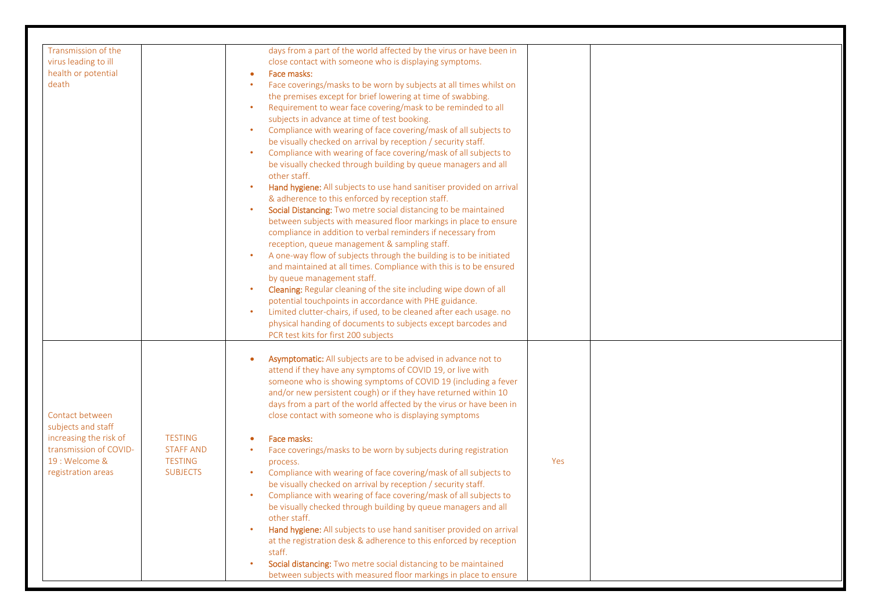| Transmission of the<br>virus leading to ill<br>health or potential<br>death                                                       |                                                                         | days from a part of the world affected by the virus or have been in<br>close contact with someone who is displaying symptoms.<br>Face masks:<br>Face coverings/masks to be worn by subjects at all times whilst on<br>the premises except for brief lowering at time of swabbing.<br>Requirement to wear face covering/mask to be reminded to all<br>subjects in advance at time of test booking.<br>Compliance with wearing of face covering/mask of all subjects to<br>be visually checked on arrival by reception / security staff.<br>Compliance with wearing of face covering/mask of all subjects to<br>be visually checked through building by queue managers and all<br>other staff.<br>Hand hygiene: All subjects to use hand sanitiser provided on arrival<br>& adherence to this enforced by reception staff.<br>Social Distancing: Two metre social distancing to be maintained<br>between subjects with measured floor markings in place to ensure<br>compliance in addition to verbal reminders if necessary from<br>reception, queue management & sampling staff.<br>A one-way flow of subjects through the building is to be initiated<br>and maintained at all times. Compliance with this is to be ensured<br>by queue management staff.<br>Cleaning: Regular cleaning of the site including wipe down of all<br>potential touchpoints in accordance with PHE guidance.<br>Limited clutter-chairs, if used, to be cleaned after each usage. no<br>physical handing of documents to subjects except barcodes and<br>PCR test kits for first 200 subjects |     |  |
|-----------------------------------------------------------------------------------------------------------------------------------|-------------------------------------------------------------------------|---------------------------------------------------------------------------------------------------------------------------------------------------------------------------------------------------------------------------------------------------------------------------------------------------------------------------------------------------------------------------------------------------------------------------------------------------------------------------------------------------------------------------------------------------------------------------------------------------------------------------------------------------------------------------------------------------------------------------------------------------------------------------------------------------------------------------------------------------------------------------------------------------------------------------------------------------------------------------------------------------------------------------------------------------------------------------------------------------------------------------------------------------------------------------------------------------------------------------------------------------------------------------------------------------------------------------------------------------------------------------------------------------------------------------------------------------------------------------------------------------------------------------------------------------------------------------|-----|--|
| Contact between<br>subjects and staff<br>increasing the risk of<br>transmission of COVID-<br>19 : Welcome &<br>registration areas | <b>TESTING</b><br><b>STAFF AND</b><br><b>TESTING</b><br><b>SUBJECTS</b> | Asymptomatic: All subjects are to be advised in advance not to<br>attend if they have any symptoms of COVID 19, or live with<br>someone who is showing symptoms of COVID 19 (including a fever<br>and/or new persistent cough) or if they have returned within 10<br>days from a part of the world affected by the virus or have been in<br>close contact with someone who is displaying symptoms<br>Face masks:<br>Face coverings/masks to be worn by subjects during registration<br>process.<br>Compliance with wearing of face covering/mask of all subjects to<br>be visually checked on arrival by reception / security staff.<br>Compliance with wearing of face covering/mask of all subjects to<br>be visually checked through building by queue managers and all<br>other staff.<br>Hand hygiene: All subjects to use hand sanitiser provided on arrival<br>at the registration desk & adherence to this enforced by reception<br>staff.<br>Social distancing: Two metre social distancing to be maintained<br>between subjects with measured floor markings in place to ensure                                                                                                                                                                                                                                                                                                                                                                                                                                                                                 | Yes |  |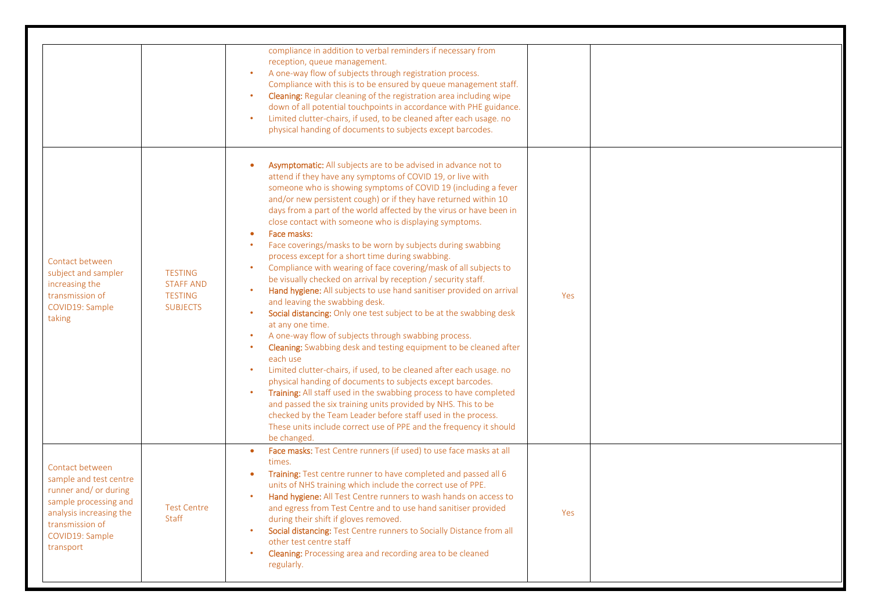|                                                                                                                                                                           |                                                                         | compliance in addition to verbal reminders if necessary from<br>reception, queue management.<br>A one-way flow of subjects through registration process.<br>Compliance with this is to be ensured by queue management staff.<br>Cleaning: Regular cleaning of the registration area including wipe<br>down of all potential touchpoints in accordance with PHE guidance.<br>Limited clutter-chairs, if used, to be cleaned after each usage. no<br>physical handing of documents to subjects except barcodes.                                                                                                                                                                                                                                                                                                                                                                                                                                                                                                                                                                                                                                                                                                                                                                                                                                                                                                                                            |     |  |
|---------------------------------------------------------------------------------------------------------------------------------------------------------------------------|-------------------------------------------------------------------------|----------------------------------------------------------------------------------------------------------------------------------------------------------------------------------------------------------------------------------------------------------------------------------------------------------------------------------------------------------------------------------------------------------------------------------------------------------------------------------------------------------------------------------------------------------------------------------------------------------------------------------------------------------------------------------------------------------------------------------------------------------------------------------------------------------------------------------------------------------------------------------------------------------------------------------------------------------------------------------------------------------------------------------------------------------------------------------------------------------------------------------------------------------------------------------------------------------------------------------------------------------------------------------------------------------------------------------------------------------------------------------------------------------------------------------------------------------|-----|--|
| Contact between<br>subject and sampler<br>increasing the<br>transmission of<br>COVID19: Sample<br>taking                                                                  | <b>TESTING</b><br><b>STAFF AND</b><br><b>TESTING</b><br><b>SUBJECTS</b> | Asymptomatic: All subjects are to be advised in advance not to<br>attend if they have any symptoms of COVID 19, or live with<br>someone who is showing symptoms of COVID 19 (including a fever<br>and/or new persistent cough) or if they have returned within 10<br>days from a part of the world affected by the virus or have been in<br>close contact with someone who is displaying symptoms.<br>Face masks:<br>Face coverings/masks to be worn by subjects during swabbing<br>process except for a short time during swabbing.<br>Compliance with wearing of face covering/mask of all subjects to<br>be visually checked on arrival by reception / security staff.<br>Hand hygiene: All subjects to use hand sanitiser provided on arrival<br>and leaving the swabbing desk.<br>Social distancing: Only one test subject to be at the swabbing desk<br>at any one time.<br>A one-way flow of subjects through swabbing process.<br>Cleaning: Swabbing desk and testing equipment to be cleaned after<br>each use<br>Limited clutter-chairs, if used, to be cleaned after each usage. no<br>physical handing of documents to subjects except barcodes.<br>Training: All staff used in the swabbing process to have completed<br>and passed the six training units provided by NHS. This to be<br>checked by the Team Leader before staff used in the process.<br>These units include correct use of PPE and the frequency it should<br>be changed. | Yes |  |
| Contact between<br>sample and test centre<br>runner and/ or during<br>sample processing and<br>analysis increasing the<br>transmission of<br>COVID19: Sample<br>transport | <b>Test Centre</b><br>Staff                                             | Face masks: Test Centre runners (if used) to use face masks at all<br>$\bullet$<br>times.<br>Training: Test centre runner to have completed and passed all 6<br>units of NHS training which include the correct use of PPE.<br>Hand hygiene: All Test Centre runners to wash hands on access to<br>and egress from Test Centre and to use hand sanitiser provided<br>during their shift if gloves removed.<br>Social distancing: Test Centre runners to Socially Distance from all<br>other test centre staff<br>Cleaning: Processing area and recording area to be cleaned<br>regularly.                                                                                                                                                                                                                                                                                                                                                                                                                                                                                                                                                                                                                                                                                                                                                                                                                                                                | Yes |  |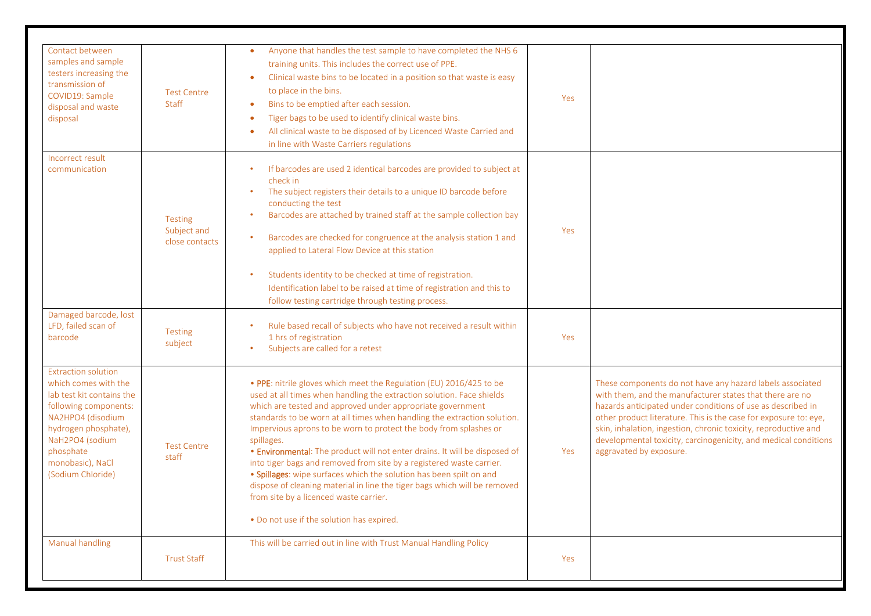| Contact between<br>samples and sample<br>testers increasing the<br>transmission of<br>COVID19: Sample<br>disposal and waste<br>disposal                                                                                 | <b>Test Centre</b><br><b>Staff</b>              | Anyone that handles the test sample to have completed the NHS 6<br>training units. This includes the correct use of PPE.<br>Clinical waste bins to be located in a position so that waste is easy<br>to place in the bins.<br>Bins to be emptied after each session.<br>Tiger bags to be used to identify clinical waste bins.<br>All clinical waste to be disposed of by Licenced Waste Carried and<br>in line with Waste Carriers regulations                                                                                                                                                                                                                                                                                                                            | Yes |                                                                                                                                                                                                                                                                                                                                                                                                                           |
|-------------------------------------------------------------------------------------------------------------------------------------------------------------------------------------------------------------------------|-------------------------------------------------|----------------------------------------------------------------------------------------------------------------------------------------------------------------------------------------------------------------------------------------------------------------------------------------------------------------------------------------------------------------------------------------------------------------------------------------------------------------------------------------------------------------------------------------------------------------------------------------------------------------------------------------------------------------------------------------------------------------------------------------------------------------------------|-----|---------------------------------------------------------------------------------------------------------------------------------------------------------------------------------------------------------------------------------------------------------------------------------------------------------------------------------------------------------------------------------------------------------------------------|
| Incorrect result<br>communication                                                                                                                                                                                       | <b>Testing</b><br>Subject and<br>close contacts | If barcodes are used 2 identical barcodes are provided to subject at<br>check in<br>The subject registers their details to a unique ID barcode before<br>conducting the test<br>Barcodes are attached by trained staff at the sample collection bay<br>Barcodes are checked for congruence at the analysis station 1 and<br>applied to Lateral Flow Device at this station<br>Students identity to be checked at time of registration.<br>Identification label to be raised at time of registration and this to<br>follow testing cartridge through testing process.                                                                                                                                                                                                       | Yes |                                                                                                                                                                                                                                                                                                                                                                                                                           |
| Damaged barcode, lost<br>LFD, failed scan of<br>barcode                                                                                                                                                                 | <b>Testing</b><br>subject                       | Rule based recall of subjects who have not received a result within<br>1 hrs of registration<br>Subjects are called for a retest                                                                                                                                                                                                                                                                                                                                                                                                                                                                                                                                                                                                                                           | Yes |                                                                                                                                                                                                                                                                                                                                                                                                                           |
| Extraction solution<br>which comes with the<br>lab test kit contains the<br>following components:<br>NA2HPO4 (disodium<br>hydrogen phosphate),<br>NaH2PO4 (sodium<br>phosphate<br>monobasic), NaCl<br>(Sodium Chloride) | <b>Test Centre</b><br>staff                     | . PPE: nitrile gloves which meet the Regulation (EU) 2016/425 to be<br>used at all times when handling the extraction solution. Face shields<br>which are tested and approved under appropriate government<br>standards to be worn at all times when handling the extraction solution.<br>Impervious aprons to be worn to protect the body from splashes or<br>spillages.<br>. Environmental: The product will not enter drains. It will be disposed of<br>into tiger bags and removed from site by a registered waste carrier.<br>. Spillages: wipe surfaces which the solution has been spilt on and<br>dispose of cleaning material in line the tiger bags which will be removed<br>from site by a licenced waste carrier.<br>. Do not use if the solution has expired. | Yes | These components do not have any hazard labels associated<br>with them, and the manufacturer states that there are no<br>hazards anticipated under conditions of use as described in<br>other product literature. This is the case for exposure to: eye,<br>skin, inhalation, ingestion, chronic toxicity, reproductive and<br>developmental toxicity, carcinogenicity, and medical conditions<br>aggravated by exposure. |
| <b>Manual handling</b>                                                                                                                                                                                                  | <b>Trust Staff</b>                              | This will be carried out in line with Trust Manual Handling Policy                                                                                                                                                                                                                                                                                                                                                                                                                                                                                                                                                                                                                                                                                                         | Yes |                                                                                                                                                                                                                                                                                                                                                                                                                           |